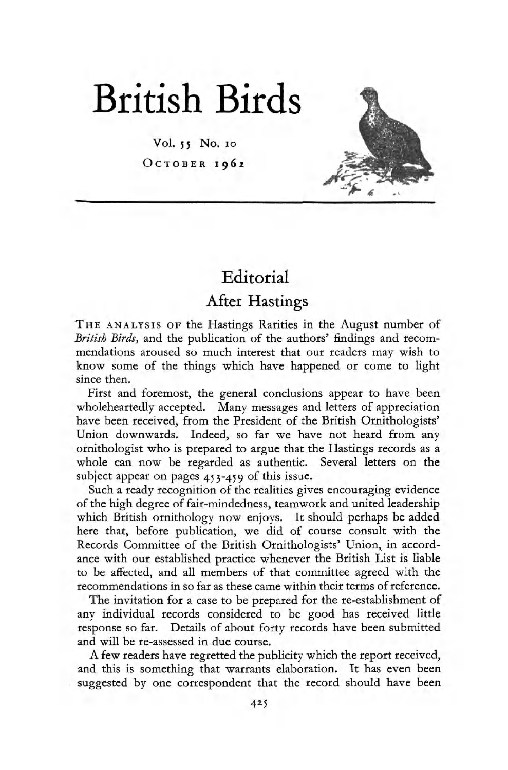

Vol. 55 No. 10  $O<sub>CTOBER</sub>$  1962



## Editorial

## After Hastings

THE ANALYSIS OF the Hastings Rarities in the August number of *British Birds,* and the publication of the authors' findings and recommendations aroused so much interest that our readers may wish to know some of the things which have happened or come to light since then.

First and foremost, the general conclusions appear to have been wholeheartedly accepted. Many messages and letters of appreciation have been received, from the President of the British Ornithologists' Union downwards. Indeed, so far we have not heard from any ornithologist who is prepared to argue that the Hastings records as a whole can now be regarded as authentic. Several letters on the subject appear on pages 453-459 of this issue.

Such a ready recognition of the realities gives encouraging evidence of the high degree of fair-mindedness, teamwork and united leadership which British ornithology now enjoys. It should perhaps be added here that, before publication, we did of course consult with the Records Committee of the British Ornithologists' Union, in accordance with our established practice whenever the British List is liable to be affected, and all members of that committee agreed with the recommendations in so far as these came within their terms of reference.

The invitation for a case to be prepared for the re-establishment of any individual records considered to be good has received little response so far. Details of about forty records have been submitted and will be re-assessed in due course.

A few readers have regretted the publicity which the report received, and this is something that warrants elaboration. It has even been suggested by one correspondent that the record should have been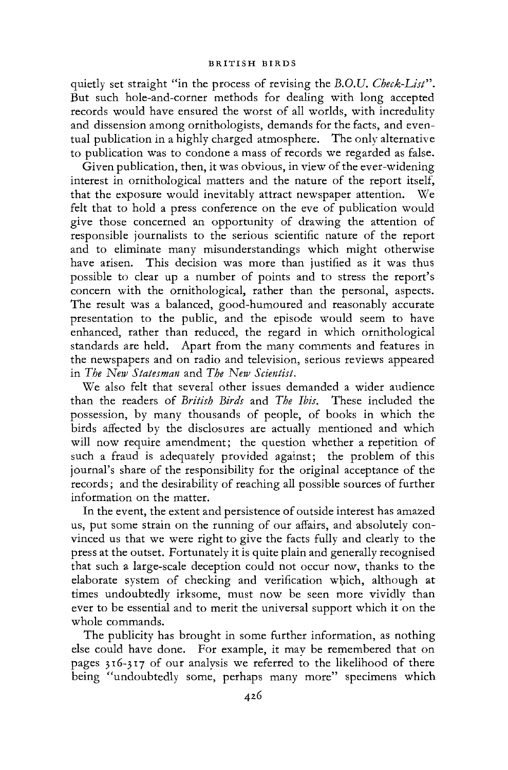quietly set straight "in the process of revising the *B.O.U. Check-List".*  But such hole-and-corner methods for dealing with long accepted records would have ensured the worst of all worlds, with incredulity and dissension among ornithologists, demands for the facts, and eventual publication in a highly charged atmosphere. The only alternative to publication was to condone a mass of records we regarded as false.

Given publication, then, it was obvious, in view of the ever-widening interest in ornithological matters and the nature of the report itself, that the exposure would inevitably attract newspaper attention. We felt that to hold a press conference on the eve of publication would give those concerned an opportunity of drawing the attention of responsible journalists to the serious scientific nature of the report and to eliminate many misunderstandings which might otherwise have arisen. This decision was more than justified as it was thus possible to clear up a number of points and to stress the report's concern with the ornithological, rather than the personal, aspects. The result was a balanced, good-humoured and reasonably accurate presentation to the public, and the episode would seem to have enhanced, rather than reduced, the regard in which ornithological standards are held. Apart from the many comments and features in the newspapers and on radio and television, serious reviews appeared in *The New Statesman* and *The New Scientist.* 

We also felt that several other issues demanded a wider audience than the readers of *British Birds* and *The Ibis.* These included the possession, by many thousands of people, of books in which the birds affected by the disclosures are actually mentioned and which will now require amendment; the question whether a repetition of such a fraud is adequately provided against; the problem of this journal's share of the responsibility for the original acceptance of the records; and the desirability of reaching all possible sources of further information on the matter.

In the event, the extent and persistence of outside interest has amazed us, put some strain on the running of our affairs, and absolutely convinced us that we were right to give the facts fully and clearly to the press at the outset. Fortunately it is quite plain and generally recognised that such a large-scale deception could not occur now, thanks to the elaborate system of checking and verification which, although at times undoubtedly irksome, must now be seen more vividly than ever to be essential and to merit the universal support which it on the whole commands.

The publicity has brought in some further information, as nothing else could have done. For example, it may be remembered that on pages 316-317 of our analysis we referred to the likelihood of there being "undoubtedly some, perhaps many more" specimens which